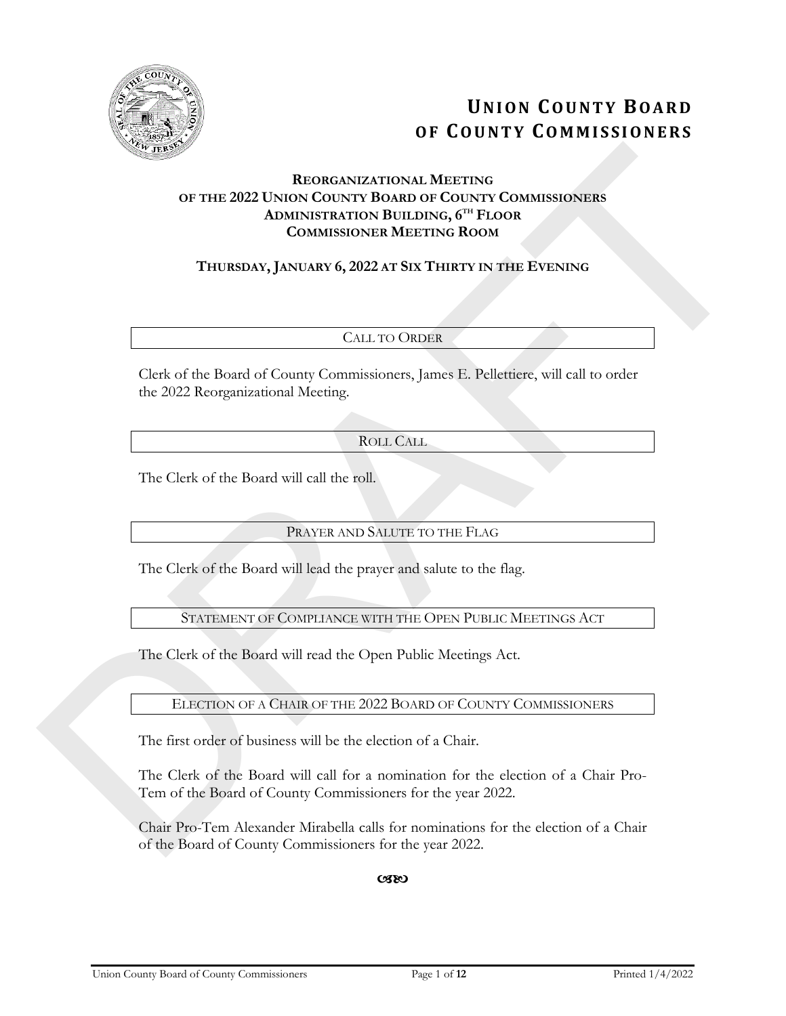

# **UNION COUNTY BOARD OF COUNTY COMMISSIONERS**

# **REORGANIZATIONAL MEETING OF THE 2022 UNION COUNTY BOARD OF COUNTY COMMISSIONERS ADMINISTRATION BUILDING, 6TH FLOOR COMMISSIONER MEETING ROOM EXECUTE 2022 EXECUTE CONTROVAL METTING**<br> **CONTROVATION CONTROVATION CONTROVATION CONTROVATION CONTROVATION CONTROVATION CONTROVATION CONTROVATION CONTROVATION CONTROVATION CONTROVATION CONTROVATION CONTROVATION CONTROV**

# **THURSDAY, JANUARY 6, 2022 AT SIX THIRTY IN THE EVENING**

# CALL TO ORDER

Clerk of the Board of County Commissioners, James E. Pellettiere, will call to order the 2022 Reorganizational Meeting.

# ROLL CALL

The Clerk of the Board will call the roll.

# PRAYER AND SALUTE TO THE FLAG

The Clerk of the Board will lead the prayer and salute to the flag.

# STATEMENT OF COMPLIANCE WITH THE OPEN PUBLIC MEETINGS ACT

The Clerk of the Board will read the Open Public Meetings Act.

## ELECTION OF A CHAIR OF THE 2022 BOARD OF COUNTY COMMISSIONERS

The first order of business will be the election of a Chair.

The Clerk of the Board will call for a nomination for the election of a Chair Pro-Tem of the Board of County Commissioners for the year 2022.

Chair Pro-Tem Alexander Mirabella calls for nominations for the election of a Chair of the Board of County Commissioners for the year 2022.

 $C(X)$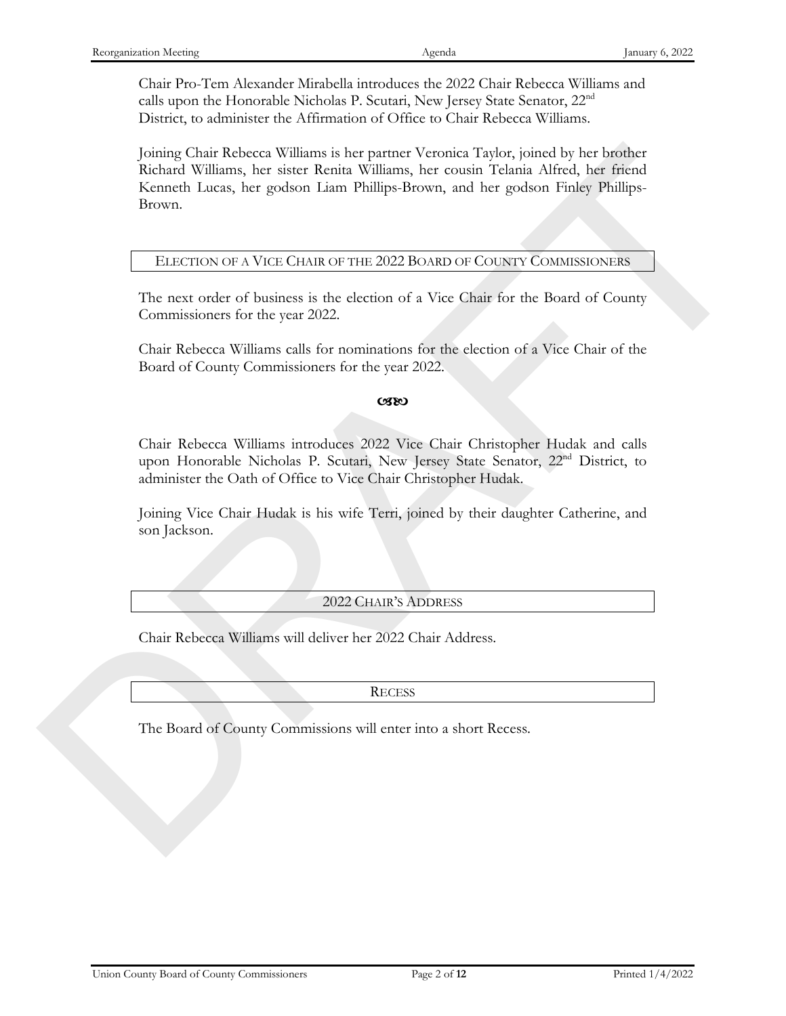Chair Pro-Tem Alexander Mirabella introduces the 2022 Chair Rebecca Williams and calls upon the Honorable Nicholas P. Scutari, New Jersey State Senator, 22nd District, to administer the Affirmation of Office to Chair Rebecca Williams.

Joining Chair Rebecca Williams is her partner Veronica Taylor, joined by her brother Richard Williams, her sister Renita Williams, her cousin Telania Alfred, her friend Kenneth Lucas, her godson Liam Phillips-Brown, and her godson Finley Phillips-Brown. Formal Chair Rebeces Williams is for peatres Veronica Torlo, joined by her briefing<br>Reheard Williams, her sister Remin Williams, her counin Triania Africal, her friend<br>Remond Locus, her godson Eam Phillips-Rowen, and the

#### ELECTION OF A VICE CHAIR OF THE 2022 BOARD OF COUNTY COMMISSIONERS

The next order of business is the election of a Vice Chair for the Board of County Commissioners for the year 2022.

Chair Rebecca Williams calls for nominations for the election of a Vice Chair of the Board of County Commissioners for the year 2022.

#### cseo

Chair Rebecca Williams introduces 2022 Vice Chair Christopher Hudak and calls upon Honorable Nicholas P. Scutari, New Jersey State Senator, 22nd District, to administer the Oath of Office to Vice Chair Christopher Hudak.

Joining Vice Chair Hudak is his wife Terri, joined by their daughter Catherine, and son Jackson.

#### 2022 CHAIR'S ADDRESS

Chair Rebecca Williams will deliver her 2022 Chair Address.

**RECESS** 

The Board of County Commissions will enter into a short Recess.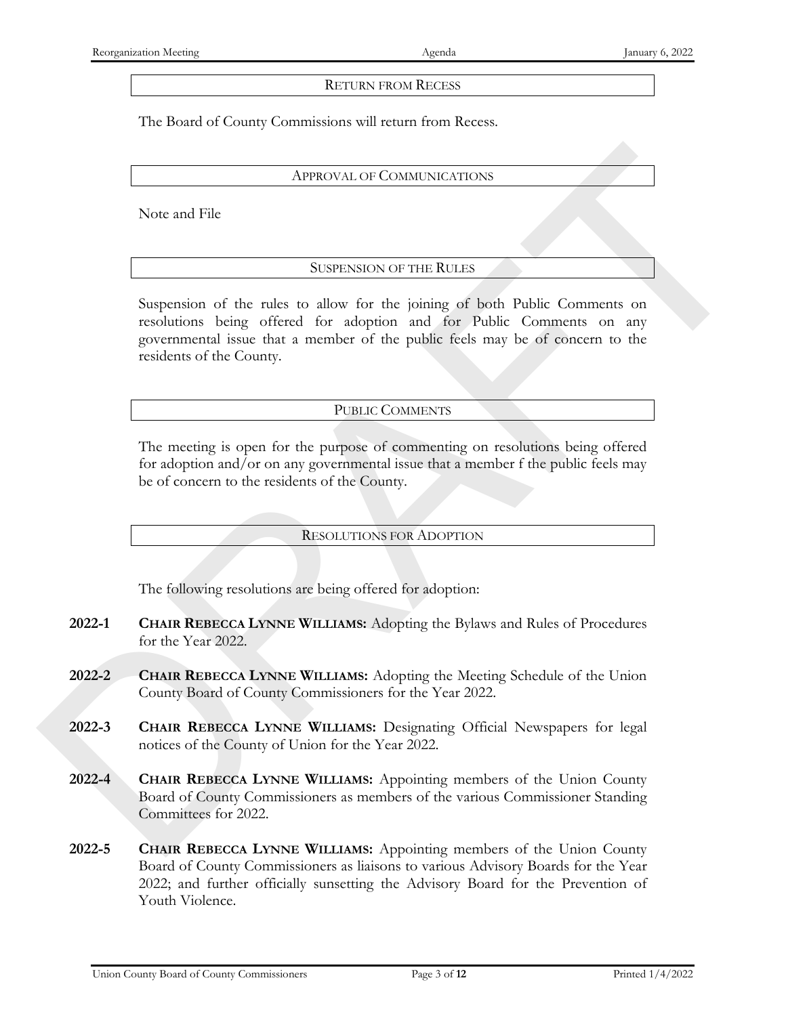#### RETURN FROM RECESS

The Board of County Commissions will return from Recess.

#### APPROVAL OF COMMUNICATIONS

Note and File

#### SUSPENSION OF THE RULES

Suspension of the rules to allow for the joining of both Public Comments on resolutions being offered for adoption and for Public Comments on any governmental issue that a member of the public feels may be of concern to the residents of the County. APPROXAMED CONDUCTATIONS<br>
Note and File<br>
SUSTENSION OF THE RULES<br>
SUSTENSION OF THE RULES<br>
Suspansion of the raise to altoge for adoption and for Polisic Commutes on any<br>
resolutions being officed for adoption and for Pol

#### PUBLIC COMMENTS

The meeting is open for the purpose of commenting on resolutions being offered for adoption and/or on any governmental issue that a member f the public feels may be of concern to the residents of the County.

#### RESOLUTIONS FOR ADOPTION

The following resolutions are being offered for adoption:

- **2022-1 CHAIR REBECCA LYNNE WILLIAMS:** Adopting the Bylaws and Rules of Procedures for the Year 2022.
- **2022-2 CHAIR REBECCA LYNNE WILLIAMS:** Adopting the Meeting Schedule of the Union County Board of County Commissioners for the Year 2022.
- **2022-3 CHAIR REBECCA LYNNE WILLIAMS:** Designating Official Newspapers for legal notices of the County of Union for the Year 2022.
- **2022-4 CHAIR REBECCA LYNNE WILLIAMS:** Appointing members of the Union County Board of County Commissioners as members of the various Commissioner Standing Committees for 2022.
- **2022-5 CHAIR REBECCA LYNNE WILLIAMS:** Appointing members of the Union County Board of County Commissioners as liaisons to various Advisory Boards for the Year 2022; and further officially sunsetting the Advisory Board for the Prevention of Youth Violence.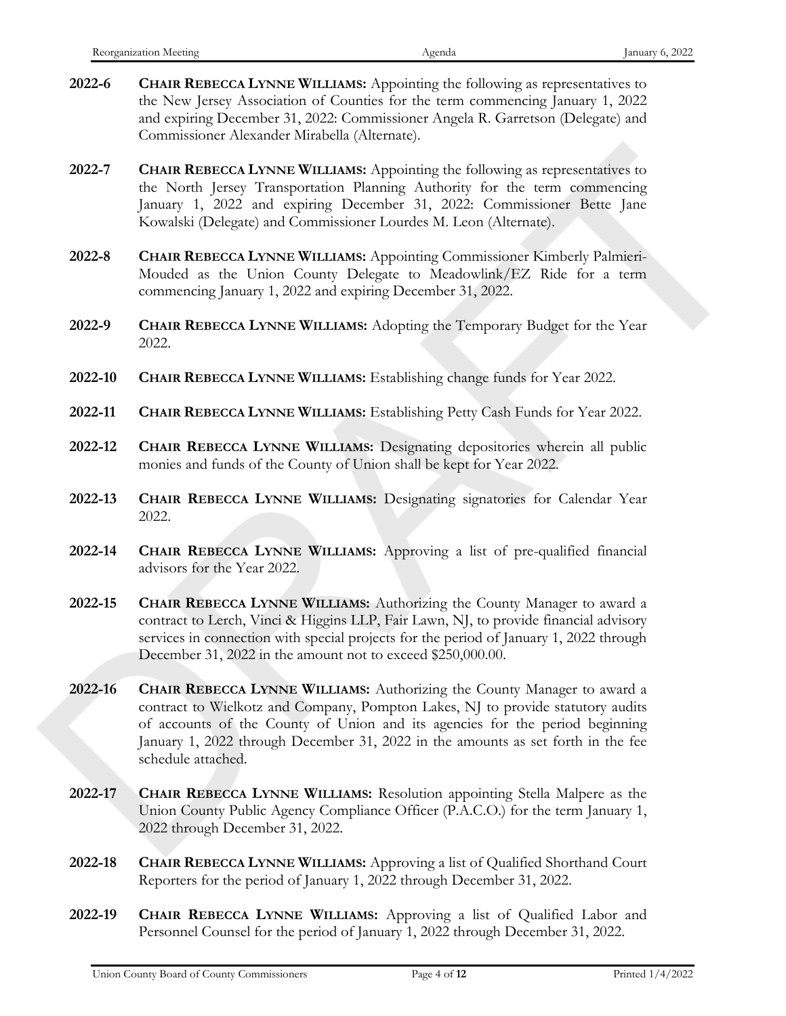- **2022-6 CHAIR REBECCA LYNNE WILLIAMS:** Appointing the following as representatives to the New Jersey Association of Counties for the term commencing January 1, 2022 and expiring December 31, 2022: Commissioner Angela R. Garretson (Delegate) and Commissioner Alexander Mirabella (Alternate).
- **2022-7 CHAIR REBECCA LYNNE WILLIAMS:** Appointing the following as representatives to the North Jersey Transportation Planning Authority for the term commencing January 1, 2022 and expiring December 31, 2022: Commissioner Bette Jane Kowalski (Delegate) and Commissioner Lourdes M. Leon (Alternate).
- **2022-8 CHAIR REBECCA LYNNE WILLIAMS:** Appointing Commissioner Kimberly Palmieri-Mouded as the Union County Delegate to Meadowlink/EZ Ride for a term commencing January 1, 2022 and expiring December 31, 2022.
- **2022-9 CHAIR REBECCA LYNNE WILLIAMS:** Adopting the Temporary Budget for the Year 2022.
- **2022-10 CHAIR REBECCA LYNNE WILLIAMS:** Establishing change funds for Year 2022.
- **2022-11 CHAIR REBECCA LYNNE WILLIAMS:** Establishing Petty Cash Funds for Year 2022.
- **2022-12 CHAIR REBECCA LYNNE WILLIAMS:** Designating depositories wherein all public monies and funds of the County of Union shall be kept for Year 2022.
- **2022-13 CHAIR REBECCA LYNNE WILLIAMS:** Designating signatories for Calendar Year 2022.
- **2022-14 CHAIR REBECCA LYNNE WILLIAMS:** Approving a list of pre-qualified financial advisors for the Year 2022.
- **2022-15 CHAIR REBECCA LYNNE WILLIAMS:** Authorizing the County Manager to award a contract to Lerch, Vinci & Higgins LLP, Fair Lawn, NJ, to provide financial advisory services in connection with special projects for the period of January 1, 2022 through December 31, 2022 in the amount not to exceed \$250,000.00.
- **2022-16 CHAIR REBECCA LYNNE WILLIAMS:** Authorizing the County Manager to award a contract to Wielkotz and Company, Pompton Lakes, NJ to provide statutory audits of accounts of the County of Union and its agencies for the period beginning January 1, 2022 through December 31, 2022 in the amounts as set forth in the fee schedule attached. 2022-7 CHAIR REBRICCA LANNE WILLIAMS Applicating the following as representatives to the North Lessey Hatasovarian (Halongy Rethorm for the term contained<br>harany 1, 2022 and expands (Pollowing Hatasovarian (Halongy Electr
	- **2022-17 CHAIR REBECCA LYNNE WILLIAMS:** Resolution appointing Stella Malpere as the Union County Public Agency Compliance Officer (P.A.C.O.) for the term January 1, 2022 through December 31, 2022.
	- **2022-18 CHAIR REBECCA LYNNE WILLIAMS:** Approving a list of Qualified Shorthand Court Reporters for the period of January 1, 2022 through December 31, 2022.
	- **2022-19 CHAIR REBECCA LYNNE WILLIAMS:** Approving a list of Qualified Labor and Personnel Counsel for the period of January 1, 2022 through December 31, 2022.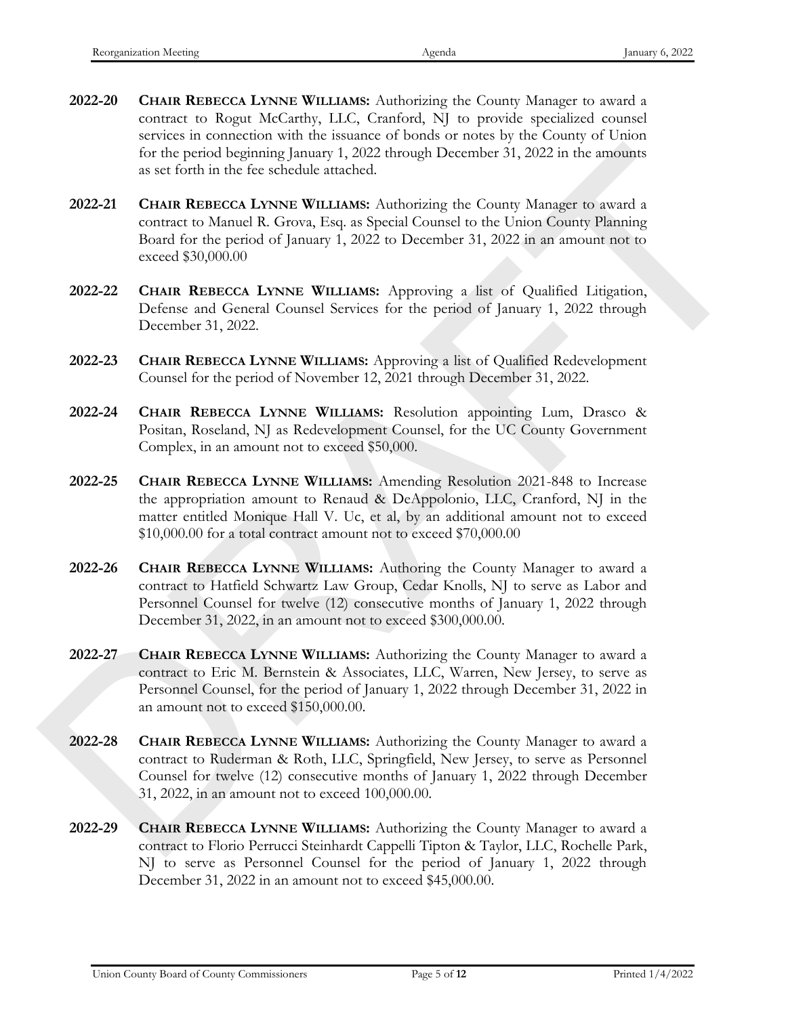- **2022-20 CHAIR REBECCA LYNNE WILLIAMS:** Authorizing the County Manager to award a contract to Rogut McCarthy, LLC, Cranford, NJ to provide specialized counsel services in connection with the issuance of bonds or notes by the County of Union for the period beginning January 1, 2022 through December 31, 2022 in the amounts as set forth in the fee schedule attached.
- **2022-21 CHAIR REBECCA LYNNE WILLIAMS:** Authorizing the County Manager to award a contract to Manuel R. Grova, Esq. as Special Counsel to the Union County Planning Board for the period of January 1, 2022 to December 31, 2022 in an amount not to exceed \$30,000.00
- **2022-22 CHAIR REBECCA LYNNE WILLIAMS:** Approving a list of Qualified Litigation, Defense and General Counsel Services for the period of January 1, 2022 through December 31, 2022.
- **2022-23 CHAIR REBECCA LYNNE WILLIAMS:** Approving a list of Qualified Redevelopment Counsel for the period of November 12, 2021 through December 31, 2022.
- **2022-24 CHAIR REBECCA LYNNE WILLIAMS:** Resolution appointing Lum, Drasco & Positan, Roseland, NJ as Redevelopment Counsel, for the UC County Government Complex, in an amount not to exceed \$50,000.
- **2022-25 CHAIR REBECCA LYNNE WILLIAMS:** Amending Resolution 2021-848 to Increase the appropriation amount to Renaud & DeAppolonio, LLC, Cranford, NJ in the matter entitled Monique Hall V. Uc, et al, by an additional amount not to exceed \$10,000.00 for a total contract amount not to exceed \$70,000.00 For the period beganning planary 1, 2022 through December 31, 2022 in the smoother<br>
as set for this television with that and the selective method of the period of the period of Hample B. County Manager to sward a<br>
2022-21
	- **2022-26 CHAIR REBECCA LYNNE WILLIAMS:** Authoring the County Manager to award a contract to Hatfield Schwartz Law Group, Cedar Knolls, NJ to serve as Labor and Personnel Counsel for twelve (12) consecutive months of January 1, 2022 through December 31, 2022, in an amount not to exceed \$300,000.00.
	- **2022-27 CHAIR REBECCA LYNNE WILLIAMS:** Authorizing the County Manager to award a contract to Eric M. Bernstein & Associates, LLC, Warren, New Jersey, to serve as Personnel Counsel, for the period of January 1, 2022 through December 31, 2022 in an amount not to exceed \$150,000.00.
	- **2022-28 CHAIR REBECCA LYNNE WILLIAMS:** Authorizing the County Manager to award a contract to Ruderman & Roth, LLC, Springfield, New Jersey, to serve as Personnel Counsel for twelve (12) consecutive months of January 1, 2022 through December 31, 2022, in an amount not to exceed 100,000.00.
	- **2022-29 CHAIR REBECCA LYNNE WILLIAMS:** Authorizing the County Manager to award a contract to Florio Perrucci Steinhardt Cappelli Tipton & Taylor, LLC, Rochelle Park, NJ to serve as Personnel Counsel for the period of January 1, 2022 through December 31, 2022 in an amount not to exceed \$45,000.00.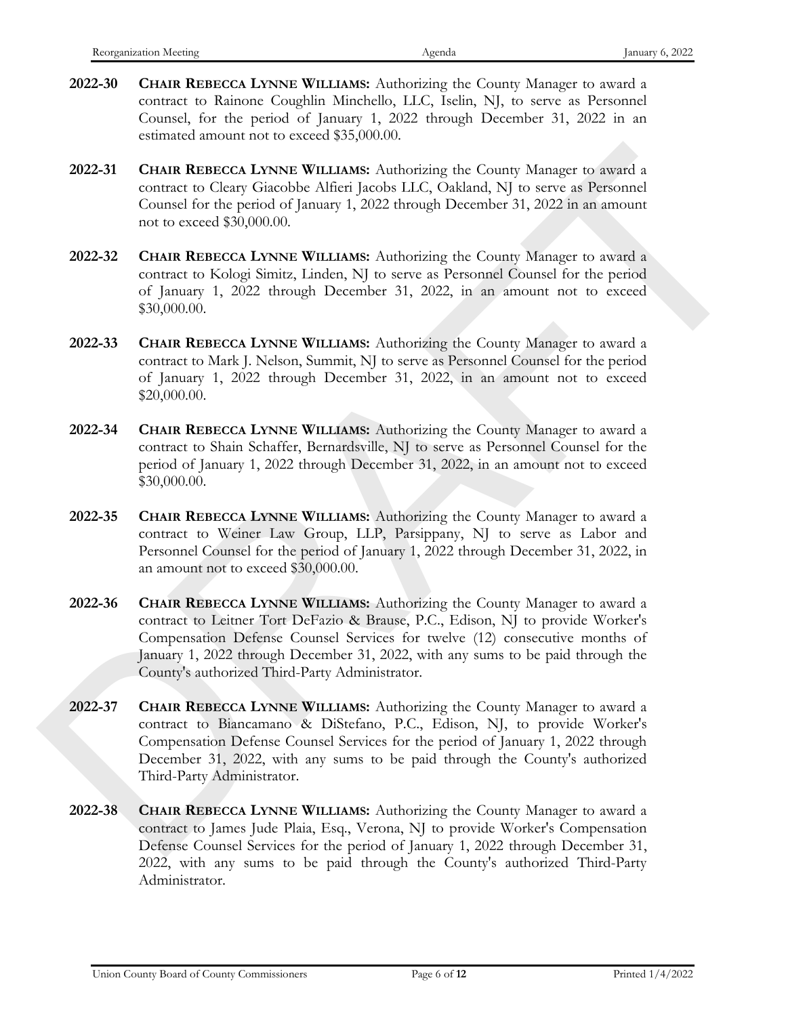- **2022-30 CHAIR REBECCA LYNNE WILLIAMS:** Authorizing the County Manager to award a contract to Rainone Coughlin Minchello, LLC, Iselin, NJ, to serve as Personnel Counsel, for the period of January 1, 2022 through December 31, 2022 in an estimated amount not to exceed \$35,000.00.
- **2022-31 CHAIR REBECCA LYNNE WILLIAMS:** Authorizing the County Manager to award a contract to Cleary Giacobbe Alfieri Jacobs LLC, Oakland, NJ to serve as Personnel Counsel for the period of January 1, 2022 through December 31, 2022 in an amount not to exceed \$30,000.00.
- **2022-32 CHAIR REBECCA LYNNE WILLIAMS:** Authorizing the County Manager to award a contract to Kologi Simitz, Linden, NJ to serve as Personnel Counsel for the period of January 1, 2022 through December 31, 2022, in an amount not to exceed \$30,000.00.
- **2022-33 CHAIR REBECCA LYNNE WILLIAMS:** Authorizing the County Manager to award a contract to Mark J. Nelson, Summit, NJ to serve as Personnel Counsel for the period of January 1, 2022 through December 31, 2022, in an amount not to exceed \$20,000.00.
- **2022-34 CHAIR REBECCA LYNNE WILLIAMS:** Authorizing the County Manager to award a contract to Shain Schaffer, Bernardsville, NJ to serve as Personnel Counsel for the period of January 1, 2022 through December 31, 2022, in an amount not to exceed \$30,000.00.
- **2022-35 CHAIR REBECCA LYNNE WILLIAMS:** Authorizing the County Manager to award a contract to Weiner Law Group, LLP, Parsippany, NJ to serve as Labor and Personnel Counsel for the period of January 1, 2022 through December 31, 2022, in an amount not to exceed \$30,000.00.
- **2022-36 CHAIR REBECCA LYNNE WILLIAMS:** Authorizing the County Manager to award a contract to Leitner Tort DeFazio & Brause, P.C., Edison, NJ to provide Worker's Compensation Defense Counsel Services for twelve (12) consecutive months of January 1, 2022 through December 31, 2022, with any sums to be paid through the County's authorized Third-Party Administrator. 2022-31 CHAIR REBECCA LINNER WILLIAMS Authorizing the County Manager to search a control color (Search to Control Commission (Control Commission) No serve at Personnel Control Commission (Search Commission Commission (Sea
	- **2022-37 CHAIR REBECCA LYNNE WILLIAMS:** Authorizing the County Manager to award a contract to Biancamano & DiStefano, P.C., Edison, NJ, to provide Worker's Compensation Defense Counsel Services for the period of January 1, 2022 through December 31, 2022, with any sums to be paid through the County's authorized Third-Party Administrator.
	- **2022-38 CHAIR REBECCA LYNNE WILLIAMS:** Authorizing the County Manager to award a contract to James Jude Plaia, Esq., Verona, NJ to provide Worker's Compensation Defense Counsel Services for the period of January 1, 2022 through December 31, 2022, with any sums to be paid through the County's authorized Third-Party Administrator.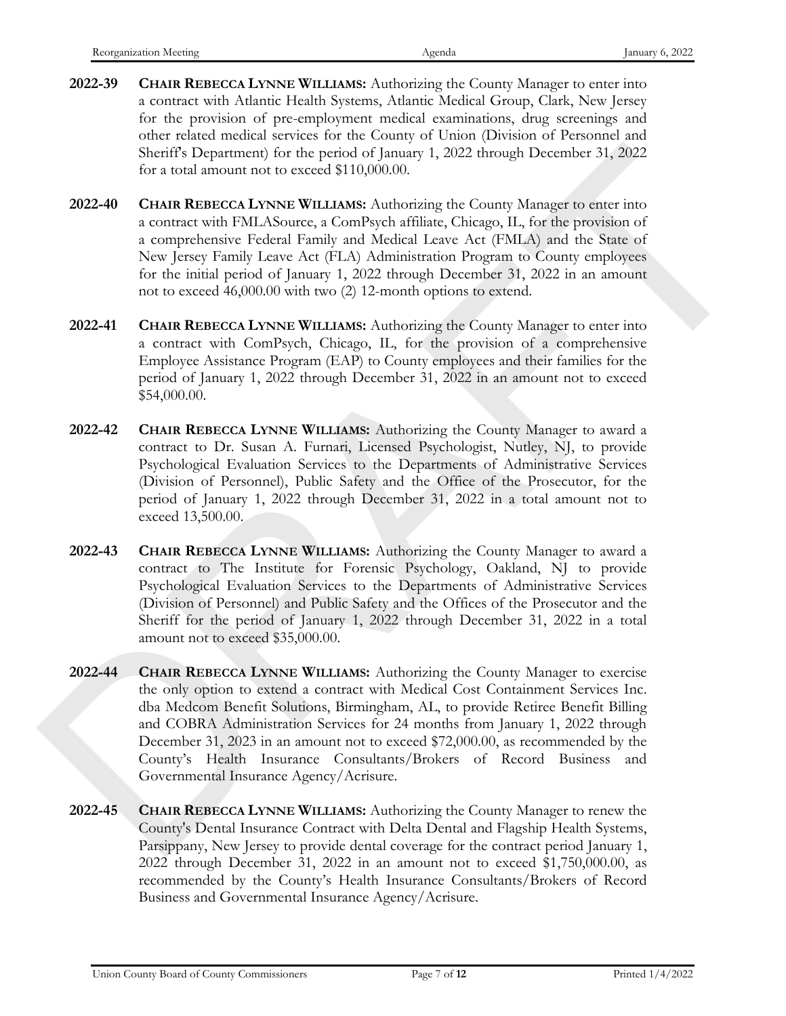- **2022-39 CHAIR REBECCA LYNNE WILLIAMS:** Authorizing the County Manager to enter into a contract with Atlantic Health Systems, Atlantic Medical Group, Clark, New Jersey for the provision of pre-employment medical examinations, drug screenings and other related medical services for the County of Union (Division of Personnel and Sheriff's Department) for the period of January 1, 2022 through December 31, 2022 for a total amount not to exceed \$110,000.00.
- **2022-40 CHAIR REBECCA LYNNE WILLIAMS:** Authorizing the County Manager to enter into a contract with FMLASource, a ComPsych affiliate, Chicago, IL, for the provision of a comprehensive Federal Family and Medical Leave Act (FMLA) and the State of New Jersey Family Leave Act (FLA) Administration Program to County employees for the initial period of January 1, 2022 through December 31, 2022 in an amount not to exceed 46,000.00 with two (2) 12-month options to extend.
- **2022-41 CHAIR REBECCA LYNNE WILLIAMS:** Authorizing the County Manager to enter into a contract with ComPsych, Chicago, IL, for the provision of a comprehensive Employee Assistance Program (EAP) to County employees and their families for the period of January 1, 2022 through December 31, 2022 in an amount not to exceed \$54,000.00.
- **2022-42 CHAIR REBECCA LYNNE WILLIAMS:** Authorizing the County Manager to award a contract to Dr. Susan A. Furnari, Licensed Psychologist, Nutley, NJ, to provide Psychological Evaluation Services to the Departments of Administrative Services (Division of Personnel), Public Safety and the Office of the Prosecutor, for the period of January 1, 2022 through December 31, 2022 in a total amount not to exceed 13,500.00.
- **2022-43 CHAIR REBECCA LYNNE WILLIAMS:** Authorizing the County Manager to award a contract to The Institute for Forensic Psychology, Oakland, NJ to provide Psychological Evaluation Services to the Departments of Administrative Services (Division of Personnel) and Public Safety and the Offices of the Prosecutor and the Sheriff for the period of January 1, 2022 through December 31, 2022 in a total amount not to exceed \$35,000.00.
- **2022-44 CHAIR REBECCA LYNNE WILLIAMS:** Authorizing the County Manager to exercise the only option to extend a contract with Medical Cost Containment Services Inc. dba Medcom Benefit Solutions, Birmingham, AL, to provide Retiree Benefit Billing and COBRA Administration Services for 24 months from January 1, 2022 through December 31, 2023 in an amount not to exceed \$72,000.00, as recommended by the County's Health Insurance Consultants/Brokers of Record Business and Governmental Insurance Agency/Acrisure. Sherift Mopetnearth for the peaked of January 1, 2022 through December 31, 2022<br>
Crass Fourier with NAFT MOMENT WILLIAMS Authorizing the Contribution of the most source with NMA Absorption is compressioned Level and the s
	- **2022-45 CHAIR REBECCA LYNNE WILLIAMS:** Authorizing the County Manager to renew the County's Dental Insurance Contract with Delta Dental and Flagship Health Systems, Parsippany, New Jersey to provide dental coverage for the contract period January 1, 2022 through December 31, 2022 in an amount not to exceed \$1,750,000.00, as recommended by the County's Health Insurance Consultants/Brokers of Record Business and Governmental Insurance Agency/Acrisure.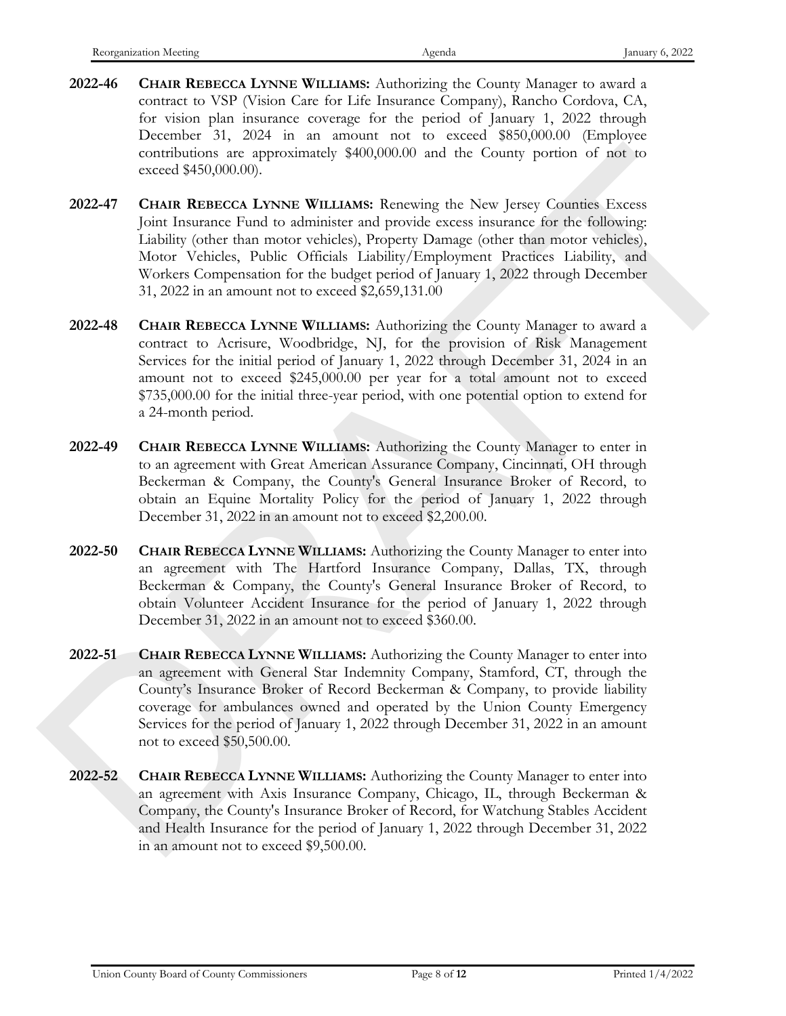- **2022-46 CHAIR REBECCA LYNNE WILLIAMS:** Authorizing the County Manager to award a contract to VSP (Vision Care for Life Insurance Company), Rancho Cordova, CA, for vision plan insurance coverage for the period of January 1, 2022 through December 31, 2024 in an amount not to exceed \$850,000.00 (Employee contributions are approximately \$400,000.00 and the County portion of not to exceed \$450,000.00).
- **2022-47 CHAIR REBECCA LYNNE WILLIAMS:** Renewing the New Jersey Counties Excess Joint Insurance Fund to administer and provide excess insurance for the following: Liability (other than motor vehicles), Property Damage (other than motor vehicles), Motor Vehicles, Public Officials Liability/Employment Practices Liability, and Workers Compensation for the budget period of January 1, 2022 through December 31, 2022 in an amount not to exceed \$2,659,131.00
- **2022-48 CHAIR REBECCA LYNNE WILLIAMS:** Authorizing the County Manager to award a contract to Acrisure, Woodbridge, NJ, for the provision of Risk Management Services for the initial period of January 1, 2022 through December 31, 2024 in an amount not to exceed \$245,000.00 per year for a total amount not to exceed \$735,000.00 for the initial three-year period, with one potential option to extend for a 24-month period. contribution are approximately \$40,000000 and the Courty portion of and<br>street and the Gourty Portugal (Section).<br>2022-7 CHAIR REBECCA LYNNE WILLIAMS Reacewarg the New Jereogr Contributions:<br>2022-7 CHAIR REBECCA LYNNE WIL
	- **2022-49 CHAIR REBECCA LYNNE WILLIAMS:** Authorizing the County Manager to enter in to an agreement with Great American Assurance Company, Cincinnati, OH through Beckerman & Company, the County's General Insurance Broker of Record, to obtain an Equine Mortality Policy for the period of January 1, 2022 through December 31, 2022 in an amount not to exceed \$2,200.00.
	- **2022-50 CHAIR REBECCA LYNNE WILLIAMS:** Authorizing the County Manager to enter into an agreement with The Hartford Insurance Company, Dallas, TX, through Beckerman & Company, the County's General Insurance Broker of Record, to obtain Volunteer Accident Insurance for the period of January 1, 2022 through December 31, 2022 in an amount not to exceed \$360.00.
	- **2022-51 CHAIR REBECCA LYNNE WILLIAMS:** Authorizing the County Manager to enter into an agreement with General Star Indemnity Company, Stamford, CT, through the County's Insurance Broker of Record Beckerman & Company, to provide liability coverage for ambulances owned and operated by the Union County Emergency Services for the period of January 1, 2022 through December 31, 2022 in an amount not to exceed \$50,500.00.
	- **2022-52 CHAIR REBECCA LYNNE WILLIAMS:** Authorizing the County Manager to enter into an agreement with Axis Insurance Company, Chicago, IL, through Beckerman & Company, the County's Insurance Broker of Record, for Watchung Stables Accident and Health Insurance for the period of January 1, 2022 through December 31, 2022 in an amount not to exceed \$9,500.00.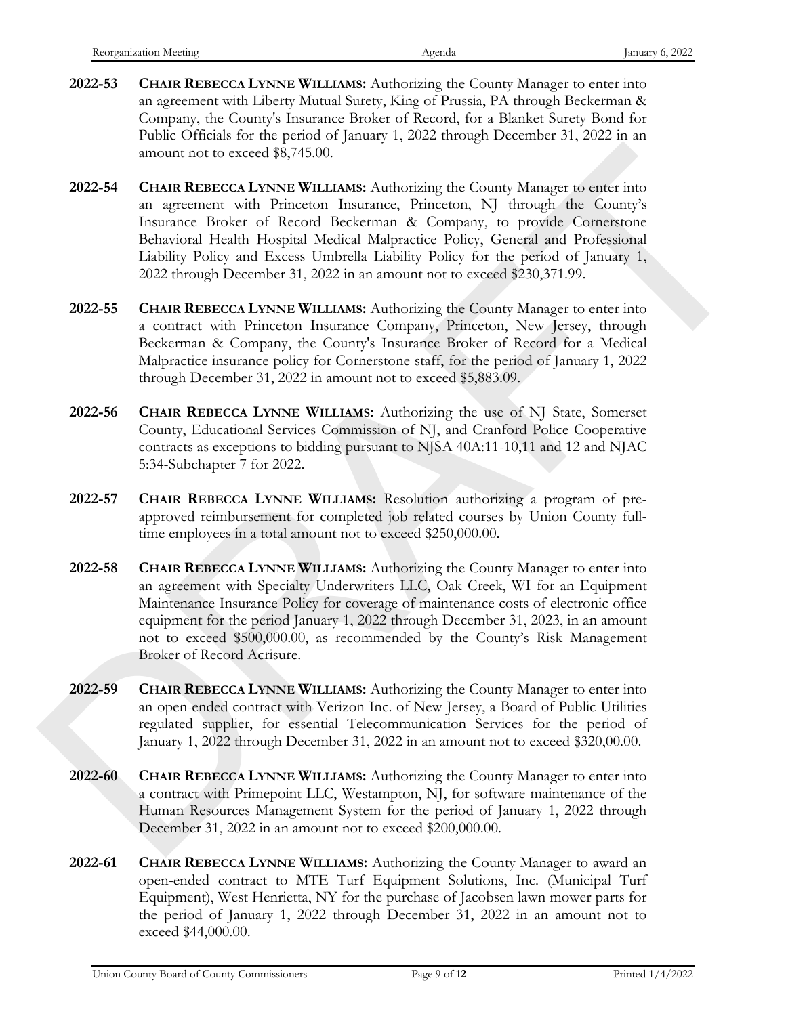- **2022-53 CHAIR REBECCA LYNNE WILLIAMS:** Authorizing the County Manager to enter into an agreement with Liberty Mutual Surety, King of Prussia, PA through Beckerman & Company, the County's Insurance Broker of Record, for a Blanket Surety Bond for Public Officials for the period of January 1, 2022 through December 31, 2022 in an amount not to exceed \$8,745.00.
- **2022-54 CHAIR REBECCA LYNNE WILLIAMS:** Authorizing the County Manager to enter into an agreement with Princeton Insurance, Princeton, NJ through the County's Insurance Broker of Record Beckerman & Company, to provide Cornerstone Behavioral Health Hospital Medical Malpractice Policy, General and Professional Liability Policy and Excess Umbrella Liability Policy for the period of January 1, 2022 through December 31, 2022 in an amount not to exceed \$230,371.99. amonat not to exceed \$8,745.00.<br>
2022-54 CHAIR REBECTA INNER Authorizing the County Manager to enter into<br>
an agreement with Pinicarum Insurance, Panceton, NJ through the County's<br>
Insurance Pieder of Reacult Malentine Re
	- **2022-55 CHAIR REBECCA LYNNE WILLIAMS:** Authorizing the County Manager to enter into a contract with Princeton Insurance Company, Princeton, New Jersey, through Beckerman & Company, the County's Insurance Broker of Record for a Medical Malpractice insurance policy for Cornerstone staff, for the period of January 1, 2022 through December 31, 2022 in amount not to exceed \$5,883.09.
	- **2022-56 CHAIR REBECCA LYNNE WILLIAMS:** Authorizing the use of NJ State, Somerset County, Educational Services Commission of NJ, and Cranford Police Cooperative contracts as exceptions to bidding pursuant to NJSA 40A:11-10,11 and 12 and NJAC 5:34-Subchapter 7 for 2022.
	- **2022-57 CHAIR REBECCA LYNNE WILLIAMS:** Resolution authorizing a program of preapproved reimbursement for completed job related courses by Union County fulltime employees in a total amount not to exceed \$250,000.00.
	- **2022-58 CHAIR REBECCA LYNNE WILLIAMS:** Authorizing the County Manager to enter into an agreement with Specialty Underwriters LLC, Oak Creek, WI for an Equipment Maintenance Insurance Policy for coverage of maintenance costs of electronic office equipment for the period January 1, 2022 through December 31, 2023, in an amount not to exceed \$500,000.00, as recommended by the County's Risk Management Broker of Record Acrisure.
	- **2022-59 CHAIR REBECCA LYNNE WILLIAMS:** Authorizing the County Manager to enter into an open-ended contract with Verizon Inc. of New Jersey, a Board of Public Utilities regulated supplier, for essential Telecommunication Services for the period of January 1, 2022 through December 31, 2022 in an amount not to exceed \$320,00.00.
	- **2022-60 CHAIR REBECCA LYNNE WILLIAMS:** Authorizing the County Manager to enter into a contract with Primepoint LLC, Westampton, NJ, for software maintenance of the Human Resources Management System for the period of January 1, 2022 through December 31, 2022 in an amount not to exceed \$200,000.00.
	- **2022-61 CHAIR REBECCA LYNNE WILLIAMS:** Authorizing the County Manager to award an open-ended contract to MTE Turf Equipment Solutions, Inc. (Municipal Turf Equipment), West Henrietta, NY for the purchase of Jacobsen lawn mower parts for the period of January 1, 2022 through December 31, 2022 in an amount not to exceed \$44,000.00.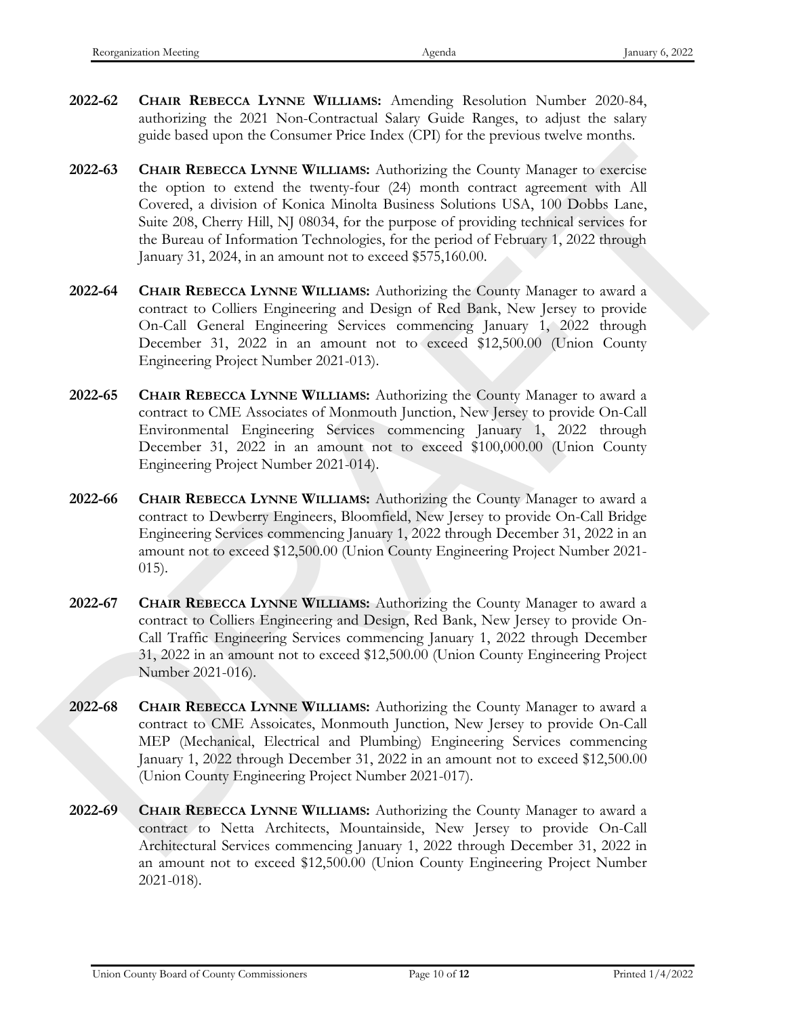- **2022-62 CHAIR REBECCA LYNNE WILLIAMS:** Amending Resolution Number 2020-84, authorizing the 2021 Non-Contractual Salary Guide Ranges, to adjust the salary guide based upon the Consumer Price Index (CPI) for the previous twelve months.
- **2022-63 CHAIR REBECCA LYNNE WILLIAMS:** Authorizing the County Manager to exercise the option to extend the twenty-four (24) month contract agreement with All Covered, a division of Konica Minolta Business Solutions USA, 100 Dobbs Lane, Suite 208, Cherry Hill, NJ 08034, for the purpose of providing technical services for the Bureau of Information Technologies, for the period of February 1, 2022 through January 31, 2024, in an amount not to exceed \$575,160.00. 2022-65 CHAIR REBECCA LANNIE WILLIAMS Authorizing the County Manager to essence the oppose to exact the calculate theorem C#1 and to exact a state of the calculate state of the mass Solarization (24 mass and the calculate
	- **2022-64 CHAIR REBECCA LYNNE WILLIAMS:** Authorizing the County Manager to award a contract to Colliers Engineering and Design of Red Bank, New Jersey to provide On-Call General Engineering Services commencing January 1, 2022 through December 31, 2022 in an amount not to exceed \$12,500.00 (Union County Engineering Project Number 2021-013).
	- **2022-65 CHAIR REBECCA LYNNE WILLIAMS:** Authorizing the County Manager to award a contract to CME Associates of Monmouth Junction, New Jersey to provide On-Call Environmental Engineering Services commencing January 1, 2022 through December 31, 2022 in an amount not to exceed \$100,000.00 (Union County Engineering Project Number 2021-014).
	- **2022-66 CHAIR REBECCA LYNNE WILLIAMS:** Authorizing the County Manager to award a contract to Dewberry Engineers, Bloomfield, New Jersey to provide On-Call Bridge Engineering Services commencing January 1, 2022 through December 31, 2022 in an amount not to exceed \$12,500.00 (Union County Engineering Project Number 2021- 015).
	- **2022-67 CHAIR REBECCA LYNNE WILLIAMS:** Authorizing the County Manager to award a contract to Colliers Engineering and Design, Red Bank, New Jersey to provide On-Call Traffic Engineering Services commencing January 1, 2022 through December 31, 2022 in an amount not to exceed \$12,500.00 (Union County Engineering Project Number 2021-016).
	- **2022-68 CHAIR REBECCA LYNNE WILLIAMS:** Authorizing the County Manager to award a contract to CME Assoicates, Monmouth Junction, New Jersey to provide On-Call MEP (Mechanical, Electrical and Plumbing) Engineering Services commencing January 1, 2022 through December 31, 2022 in an amount not to exceed \$12,500.00 (Union County Engineering Project Number 2021-017).
	- **2022-69 CHAIR REBECCA LYNNE WILLIAMS:** Authorizing the County Manager to award a contract to Netta Architects, Mountainside, New Jersey to provide On-Call Architectural Services commencing January 1, 2022 through December 31, 2022 in an amount not to exceed \$12,500.00 (Union County Engineering Project Number 2021 -018).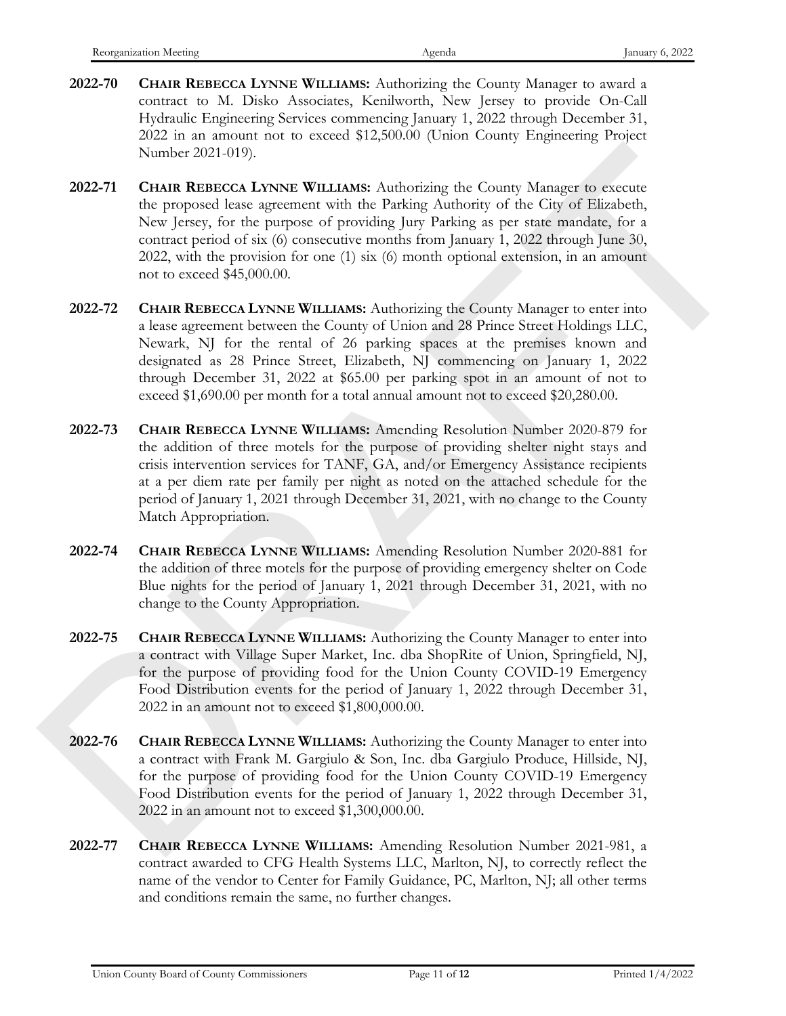- **2022-70 CHAIR REBECCA LYNNE WILLIAMS:** Authorizing the County Manager to award a contract to M. Disko Associates, Kenilworth, New Jersey to provide On-Call Hydraulic Engineering Services commencing January 1, 2022 through December 31, 2022 in an amount not to exceed \$12,500.00 (Union County Engineering Project Number 2021-019).
- **2022-71 CHAIR REBECCA LYNNE WILLIAMS:** Authorizing the County Manager to execute the proposed lease agreement with the Parking Authority of the City of Elizabeth, New Jersey, for the purpose of providing Jury Parking as per state mandate, for a contract period of six (6) consecutive months from January 1, 2022 through June 30, 2022, with the provision for one (1) six (6) month optional extension, in an amount not to exceed \$45,000.00.
- **2022-72 CHAIR REBECCA LYNNE WILLIAMS:** Authorizing the County Manager to enter into a lease agreement between the County of Union and 28 Prince Street Holdings LLC, Newark, NJ for the rental of 26 parking spaces at the premises known and designated as 28 Prince Street, Elizabeth, NJ commencing on January 1, 2022 through December 31, 2022 at \$65.00 per parking spot in an amount of not to exceed \$1,690.00 per month for a total annual amount not to exceed \$20,280.00.
- **2022-73 CHAIR REBECCA LYNNE WILLIAMS:** Amending Resolution Number 2020-879 for the addition of three motels for the purpose of providing shelter night stays and crisis intervention services for TANF, GA, and/or Emergency Assistance recipients at a per diem rate per family per night as noted on the attached schedule for the period of January 1, 2021 through December 31, 2021, with no change to the County Match Appropriation. Number 2021-019).<br>
2022-71 CHAIR REBECCA LANNE WILLIAMS Authorizing the Courty Manager to escente<br>
2022-71 CHAIR REBECCA LANNE WILLIAMS And the Parking Apple 11 properties the proposed lease agreement with the Parking App
	- **2022-74 CHAIR REBECCA LYNNE WILLIAMS:** Amending Resolution Number 2020-881 for the addition of three motels for the purpose of providing emergency shelter on Code Blue nights for the period of January 1, 2021 through December 31, 2021, with no change to the County Appropriation.
	- **2022-75 CHAIR REBECCA LYNNE WILLIAMS:** Authorizing the County Manager to enter into a contract with Village Super Market, Inc. dba ShopRite of Union, Springfield, NJ, for the purpose of providing food for the Union County COVID-19 Emergency Food Distribution events for the period of January 1, 2022 through December 31, 2022 in an amount not to exceed \$1,800,000.00.
	- **2022-76 CHAIR REBECCA LYNNE WILLIAMS:** Authorizing the County Manager to enter into a contract with Frank M. Gargiulo & Son, Inc. dba Gargiulo Produce, Hillside, NJ, for the purpose of providing food for the Union County COVID-19 Emergency Food Distribution events for the period of January 1, 2022 through December 31, 2022 in an amount not to exceed \$1,300,000.00.
	- **2022-77 CHAIR REBECCA LYNNE WILLIAMS:** Amending Resolution Number 2021-981, a contract awarded to CFG Health Systems LLC, Marlton, NJ, to correctly reflect the name of the vendor to Center for Family Guidance, PC, Marlton, NJ; all other terms and conditions remain the same, no further changes.